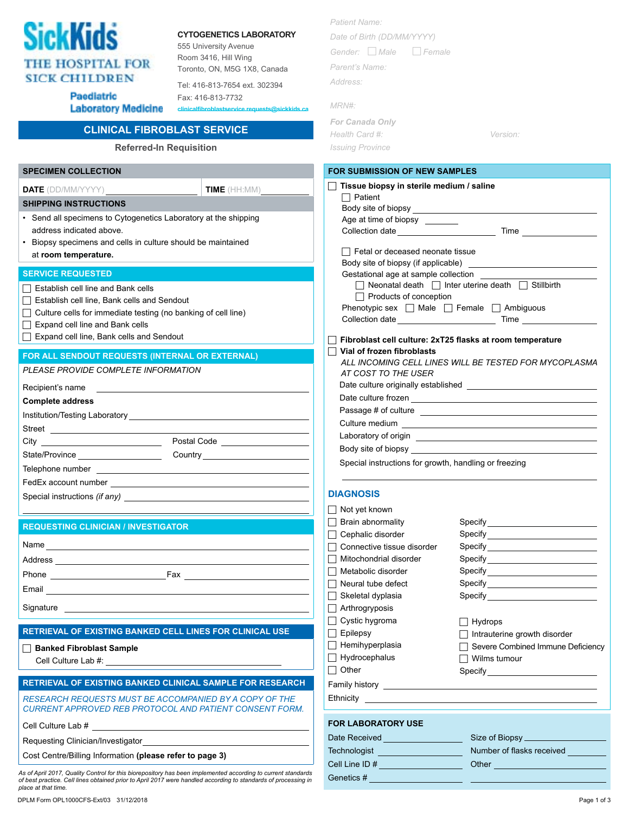

## **CytogenetiCs Laboratory**

555 University Avenue Room 3416, Hill Wing Toronto, ON, M5G 1X8, Canada

Tel: 416-813-7654 ext. 302394

**Date** (DD/MM/YYYY) **Time** (HH:MM)

Paediatric **Laboratory Medicine** 

## Fax: 416-813-7732  $clinicalfibrohlastse$

## **Clinical Fibroblast Service**

**Referred-In Requisition**

| <b>SPECIMEN COLLECTION</b>              |
|-----------------------------------------|
| <b>DATE</b> (DD/MM/YYYY)                |
| <b>SHIPPING INSTRUCTIONS</b>            |
| • Sand all engoimane to Cytographics La |

- Send all specimens to Cytogenetics Laboratory at the shipping address indicated above.
- Biopsy specimens and cells in culture should be maintained at **room temperature.**

#### **Service Requested**

- Establish cell line, Bank cells and Sendout
- $\Box$  Culture cells for immediate testing (no banking of cell line)
- Expand cell line and Bank cells
- Expand cell line, Bank cells and Sendout

#### **for all sendout requests (internal or external)**

*Please provide complete information*

| Recipient's name |  |
|------------------|--|
|------------------|--|

| 1.000 p.m.s. component of the contract of the contract of the contract of the contract of the contract of the contract of the contract of the contract of the contract of the contract of the contract of the contract of the |                                |  |
|-------------------------------------------------------------------------------------------------------------------------------------------------------------------------------------------------------------------------------|--------------------------------|--|
| <b>Complete address</b>                                                                                                                                                                                                       |                                |  |
|                                                                                                                                                                                                                               |                                |  |
|                                                                                                                                                                                                                               |                                |  |
|                                                                                                                                                                                                                               | Postal Code _________________  |  |
| State/Province _____________________                                                                                                                                                                                          | Country ______________________ |  |
|                                                                                                                                                                                                                               |                                |  |
|                                                                                                                                                                                                                               |                                |  |
| Special instructions (if any)                                                                                                                                                                                                 |                                |  |

#### **Requesting Clinician / Investigator**

| Name      |     |
|-----------|-----|
| Address   |     |
| Phone     | Fax |
| Email     |     |
| Signature |     |

#### **Retrieval of existing banked cell lines For Clinical Use**

## **Banked Fibroblast Sample**

Cell Culture Lab #:

### **Retrieval of existing banked clinical sample for research**

*Research requests must be accompanied by a copy of the Current approved reb protocol and patient consent form.*

Cell Culture Lab #

Requesting Clinician/Investigator

Cost Centre/Billing Information **(please refer to page 3)**

*As of April 2017, Quality Control for this biorepository has been implemented according to current standards of best practice. Cell lines obtained prior to April 2017 were handled according to standards of processing in place at that time.*

| Patient Name:               |
|-----------------------------|
| Date of Birth (DD/MM/YYYY)  |
| Gender:     Male     Female |
| Parent's Name:              |
| Address:                    |
| MRN#:                       |
|                             |
| <b>For Canada Only</b>      |

| For Canada Only         |          |
|-------------------------|----------|
| Health Card #:          | Version: |
| <b>Issuing Province</b> |          |

#### **for submission of New Samples**

| Tissue biopsy in sterile medium / saline              |                                                                    |  |  |
|-------------------------------------------------------|--------------------------------------------------------------------|--|--|
| $\Box$ Patient                                        |                                                                    |  |  |
|                                                       |                                                                    |  |  |
| Age at time of biopsy                                 |                                                                    |  |  |
|                                                       |                                                                    |  |  |
| $\Box$ Fetal or deceased neonate tissue               |                                                                    |  |  |
|                                                       |                                                                    |  |  |
| Gestational age at sample collection _____            |                                                                    |  |  |
|                                                       | $\Box$ Neonatal death $\Box$ Inter uterine death $\Box$ Stillbirth |  |  |
| $\Box$ Products of conception                         |                                                                    |  |  |
| Phenotypic sex   Male   Female   Ambiguous            |                                                                    |  |  |
|                                                       |                                                                    |  |  |
|                                                       | Fibroblast cell culture: 2xT25 flasks at room temperature          |  |  |
| Vial of frozen fibroblasts                            |                                                                    |  |  |
|                                                       | ALL INCOMING CELL LINES WILL BE TESTED FOR MYCOPLASMA              |  |  |
| AT COST TO THE USER                                   |                                                                    |  |  |
|                                                       |                                                                    |  |  |
|                                                       |                                                                    |  |  |
|                                                       |                                                                    |  |  |
| Culture medium                                        |                                                                    |  |  |
|                                                       |                                                                    |  |  |
|                                                       |                                                                    |  |  |
| Special instructions for growth, handling or freezing |                                                                    |  |  |
| <b>DIAGNOSIS</b>                                      |                                                                    |  |  |
| Not yet known                                         |                                                                    |  |  |
| $\sqsupset$ Brain abnormality                         |                                                                    |  |  |
| $\sqsupset$ Cephalic disorder                         |                                                                    |  |  |
| □ Connective tissue disorder                          |                                                                    |  |  |
| $\sqcap$ Mitochondrial disorder                       |                                                                    |  |  |
| □ Metabolic disorder                                  |                                                                    |  |  |
| Neural tube defect                                    |                                                                    |  |  |
| $\sqsupset$ Skeletal dyplasia<br>I                    |                                                                    |  |  |
| $\Box$ Arthrogryposis                                 |                                                                    |  |  |
| $\Box$ Cystic hygroma                                 | $\Box$ Hydrops                                                     |  |  |
| $\Box$ Epilepsy                                       |                                                                    |  |  |
| $\Box$ Hemihyperplasia                                | Intrauterine growth disorder<br>Severe Combined Immune Deficiency  |  |  |
| Hydrocephalus                                         | $\Box$ Wilms tumour                                                |  |  |
| $\Box$ Other                                          |                                                                    |  |  |
|                                                       | Specify__________________________                                  |  |  |
|                                                       |                                                                    |  |  |
|                                                       |                                                                    |  |  |
|                                                       |                                                                    |  |  |

## **For Laboratory Use**

| Date Received  | Size of Biopsy            |
|----------------|---------------------------|
| Technologist   | Number of flasks received |
| Cell Line ID # | Other                     |
| Genetics #     |                           |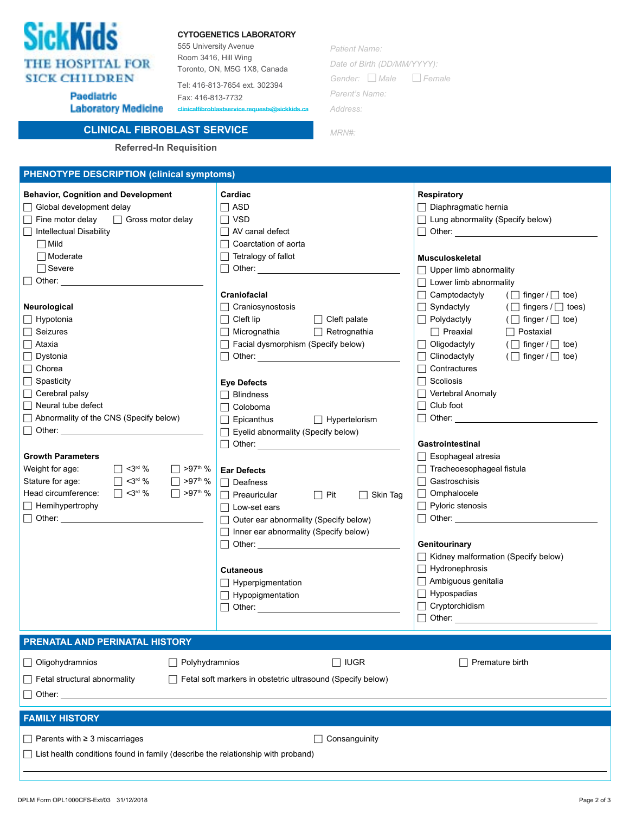| <b>SickKids</b>         |
|-------------------------|
| <b>THE HOSPITAL FOR</b> |
| <b>SICK CHILDREN</b>    |

Paediatric

#### **CytogenetiCs Laboratory**

555 University Avenue Room 3416, Hill Wing Toronto, ON, M5G 1X8, Canada

Tel: 416-813-7654 ext. 302394 Fax: 416-813-7732

**Laboratory Medicine clinicalfibroblastservice.requests@sickkids.ca** *Patient Name: Date of Birth (DD/MM/YYYY): Gender: Male Female Parent's Name: Address:*

*MRN#:*

**Clinical Fibroblast Service Referred-In Requisition**

# **PHENOTYPE DESCRIPTION (clinical symptoms)**

| <b>Behavior, Cognition and Development</b><br>□ Global development delay<br>$\Box$ Fine motor delay<br>$\Box$ Gross motor delay<br>□ Intellectual Disability<br>$\Box$ Mild<br>$\Box$ Moderate<br>$\Box$ Severe<br>$\Box$ Other:<br>Neurological                                                                                                                               | Cardiac<br>$\Box$ ASD<br>$\Box$ VSD<br>$\Box$ AV canal defect<br>□ Coarctation of aorta<br>$\Box$ Tetralogy of fallot<br>Craniofacial<br>$\Box$ Craniosynostosis                                                                                                                                                                                                                                                                                                                                                                                                                         | <b>Respiratory</b><br>$\Box$ Diaphragmatic hernia<br>$\Box$ Lung abnormality (Specify below)<br>Musculoskeletal<br>$\Box$ Upper limb abnormality<br>$\Box$ Lower limb abnormality<br>$\Box$ Camptodactyly<br>$(\Box$ finger $/\Box$ toe)<br>$\Box$ Syndactyly<br>$(\Box$ fingers / $\Box$ toes)                                                                                                                          |  |
|--------------------------------------------------------------------------------------------------------------------------------------------------------------------------------------------------------------------------------------------------------------------------------------------------------------------------------------------------------------------------------|------------------------------------------------------------------------------------------------------------------------------------------------------------------------------------------------------------------------------------------------------------------------------------------------------------------------------------------------------------------------------------------------------------------------------------------------------------------------------------------------------------------------------------------------------------------------------------------|--------------------------------------------------------------------------------------------------------------------------------------------------------------------------------------------------------------------------------------------------------------------------------------------------------------------------------------------------------------------------------------------------------------------------|--|
| $\Box$ Hypotonia<br>$\Box$ Seizures<br>$\Box$ Ataxia<br>$\Box$ Dystonia<br>$\Box$ Chorea<br>$\Box$ Spasticity<br>$\Box$ Cerebral palsy<br>$\Box$ Neural tube defect<br>Abnormality of the CNS (Specify below)<br><b>Growth Parameters</b><br>$\Box$ <3rd %<br>$\Box$ >97 <sup>th</sup> %<br>Weight for age:<br>Stature for age:<br>$\Box$ <3rd %<br>$\Box$ >97 <sup>th</sup> % | $\Box$ Cleft palate<br>$\Box$ Cleft lip<br>$\Box$ Micrognathia<br>$\Box$ Retrognathia<br>$\Box$ Facial dysmorphism (Specify below)<br>□ Other: <u>____________________________</u><br><b>Eye Defects</b><br>Blindness<br>Coloboma<br>$\Box$ Hypertelorism<br>Epicanthus<br>Eyelid abnormality (Specify below)<br>Other: the contract of the contract of the contract of the contract of the contract of the contract of the contract of the contract of the contract of the contract of the contract of the contract of the contract of the con<br><b>Ear Defects</b><br>$\Box$ Deafness | $\Box$ Polydactyly<br>$(\Box$ finger $/\Box$ toe)<br>$\Box$ Preaxial<br>$\Box$ Postaxial<br>$\Box$ Oligodactyly<br>$(\Box$ finger $/\Box$ toe)<br>$\Box$ Clinodactyly<br>$(\Box$ finger $/\Box$ toe)<br>□ Contractures<br>$\Box$ Scoliosis<br>$\Box$ Vertebral Anomaly<br>$\Box$ Club foot<br>$\Box$ Other:<br>Gastrointestinal<br>$\Box$ Esophageal atresia<br>$\Box$ Tracheoesophageal fistula<br>$\Box$ Gastroschisis |  |
| Head circumference:<br>$\Box$ <3rd %<br>$\Box$ >97 <sup>th</sup> %<br>$\Box$ Hemihypertrophy<br>$\Box$ Other:                                                                                                                                                                                                                                                                  | $\Box$ Preauricular<br>$\Box$ Pit<br>$\Box$ Skin Tag<br>□ Low-set ears<br>$\Box$ Outer ear abnormality (Specify below)<br>Inner ear abnormality (Specify below)<br><b>Cutaneous</b><br>$\Box$ Hyperpigmentation<br>$\Box$ Hypopigmentation<br>$\Box$ Other: $\Box$                                                                                                                                                                                                                                                                                                                       | $\Box$ Omphalocele<br>$\Box$ Pyloric stenosis<br>$\Box$ Other:<br>Genitourinary<br>Kidney malformation (Specify below)<br>$\Box$ Hydronephrosis<br>$\Box$ Ambiguous genitalia<br>$\Box$ Hypospadias<br>$\Box$ Cryptorchidism                                                                                                                                                                                             |  |
| PRENATAL AND PERINATAL HISTORY                                                                                                                                                                                                                                                                                                                                                 |                                                                                                                                                                                                                                                                                                                                                                                                                                                                                                                                                                                          |                                                                                                                                                                                                                                                                                                                                                                                                                          |  |
| Oligohydramnios<br>Polyhydramnios<br><b>IUGR</b><br>Premature birth<br>$\Box$ Fetal structural abnormality<br>$\Box$ Fetal soft markers in obstetric ultrasound (Specify below)<br>$\vert$ $\vert$ Other:                                                                                                                                                                      |                                                                                                                                                                                                                                                                                                                                                                                                                                                                                                                                                                                          |                                                                                                                                                                                                                                                                                                                                                                                                                          |  |
| <b>FAMILY HISTORY</b>                                                                                                                                                                                                                                                                                                                                                          |                                                                                                                                                                                                                                                                                                                                                                                                                                                                                                                                                                                          |                                                                                                                                                                                                                                                                                                                                                                                                                          |  |
| $\Box$ Parents with $\geq$ 3 miscarriages<br>□ List health conditions found in family (describe the relationship with proband)                                                                                                                                                                                                                                                 | Consanguinity                                                                                                                                                                                                                                                                                                                                                                                                                                                                                                                                                                            |                                                                                                                                                                                                                                                                                                                                                                                                                          |  |